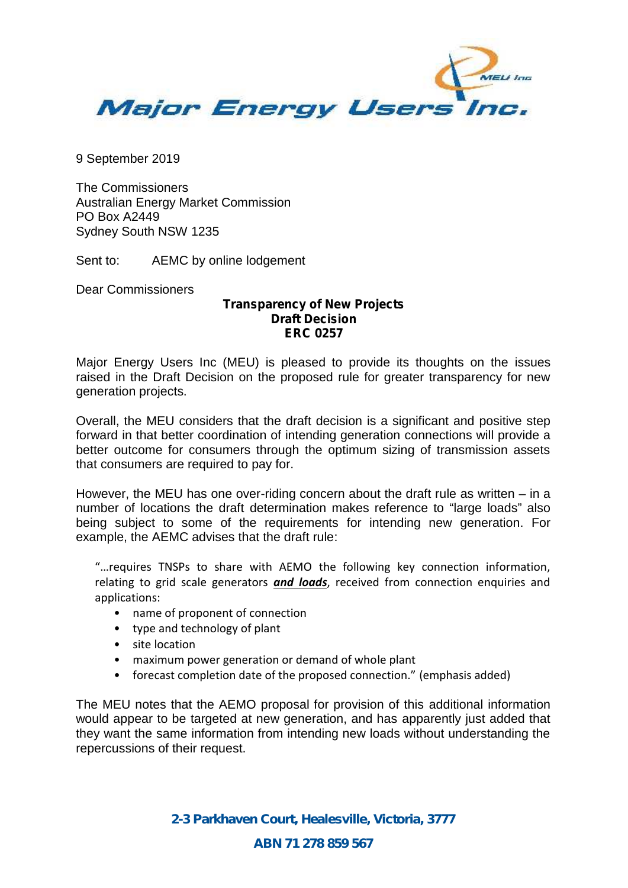

9 September 2019

The Commissioners Australian Energy Market Commission PO Box A2449 Sydney South NSW 1235

Sent to: AEMC by online lodgement

Dear Commissioners

## **Transparency of New Projects Draft Decision ERC 0257**

Major Energy Users Inc (MEU) is pleased to provide its thoughts on the issues raised in the Draft Decision on the proposed rule for greater transparency for new generation projects.

Overall, the MEU considers that the draft decision is a significant and positive step forward in that better coordination of intending generation connections will provide a better outcome for consumers through the optimum sizing of transmission assets that consumers are required to pay for.

However, the MEU has one over-riding concern about the draft rule as written – in a number of locations the draft determination makes reference to "large loads" also being subject to some of the requirements for intending new generation. For example, the AEMC advises that the draft rule:

"…requires TNSPs to share with AEMO the following key connection information, relating to grid scale generators *and loads*, received from connection enquiries and applications:

- name of proponent of connection
- type and technology of plant
- site location
- maximum power generation or demand of whole plant
- forecast completion date of the proposed connection." (emphasis added)

The MEU notes that the AEMO proposal for provision of this additional information would appear to be targeted at new generation, and has apparently just added that they want the same information from intending new loads without understanding the repercussions of their request.

> *2-3 Parkhaven Court, Healesville, Victoria, 3777 ABN 71 278 859 567*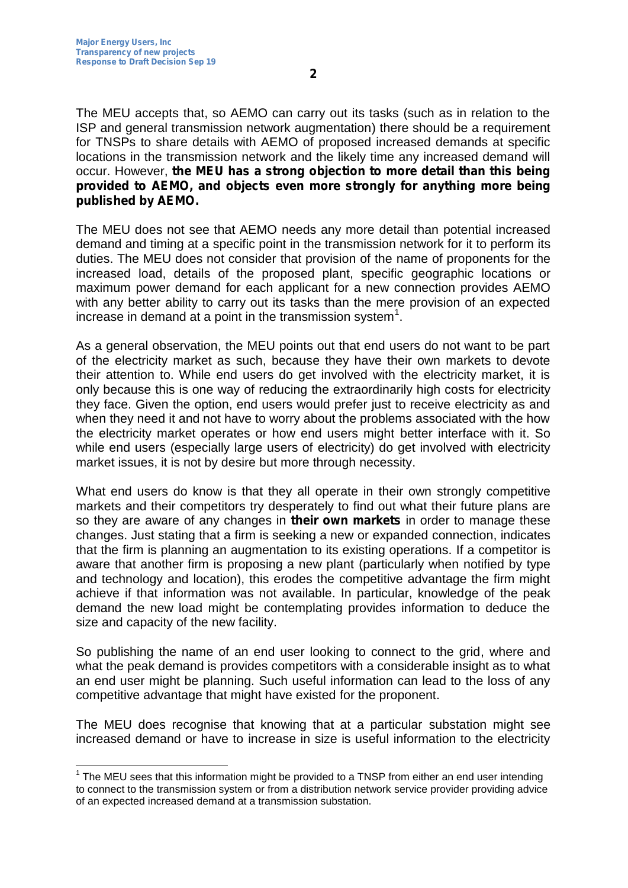The MEU accepts that, so AEMO can carry out its tasks (such as in relation to the ISP and general transmission network augmentation) there should be a requirement for TNSPs to share details with AEMO of proposed increased demands at specific locations in the transmission network and the likely time any increased demand will occur. However, **the MEU has a strong objection to more detail than this being provided to AEMO, and objects even more strongly for anything more being published by AEMO.**

The MEU does not see that AEMO needs any more detail than potential increased demand and timing at a specific point in the transmission network for it to perform its duties. The MEU does not consider that provision of the name of proponents for the increased load, details of the proposed plant, specific geographic locations or maximum power demand for each applicant for a new connection provides AEMO with any better ability to carry out its tasks than the mere provision of an expected increase in demand at a point in the transmission system<sup>1</sup>.

As a general observation, the MEU points out that end users do not want to be part of the electricity market as such, because they have their own markets to devote their attention to. While end users do get involved with the electricity market, it is only because this is one way of reducing the extraordinarily high costs for electricity they face. Given the option, end users would prefer just to receive electricity as and when they need it and not have to worry about the problems associated with the how the electricity market operates or how end users might better interface with it. So while end users (especially large users of electricity) do get involved with electricity market issues, it is not by desire but more through necessity.

What end users do know is that they all operate in their own strongly competitive markets and their competitors try desperately to find out what their future plans are so they are aware of any changes in **their own markets** in order to manage these changes. Just stating that a firm is seeking a new or expanded connection, indicates that the firm is planning an augmentation to its existing operations. If a competitor is aware that another firm is proposing a new plant (particularly when notified by type and technology and location), this erodes the competitive advantage the firm might achieve if that information was not available. In particular, knowledge of the peak demand the new load might be contemplating provides information to deduce the size and capacity of the new facility.

So publishing the name of an end user looking to connect to the grid, where and what the peak demand is provides competitors with a considerable insight as to what an end user might be planning. Such useful information can lead to the loss of any competitive advantage that might have existed for the proponent.

The MEU does recognise that knowing that at a particular substation might see increased demand or have to increase in size is useful information to the electricity

 $1$  The MEU sees that this information might be provided to a TNSP from either an end user intending to connect to the transmission system or from a distribution network service provider providing advice of an expected increased demand at a transmission substation.